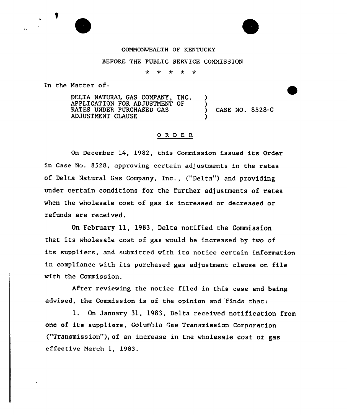#### COMMONWEALTH OF KENTUCKY

#### BEFORE THE PUBLIC SERVICE COMMISSION

 $\star$  $\star$ -sk

In the Natter of:

DELTA NATURAL GAS CONPANY, INC. APPLICATION FOR ADJUSTMENT OF RATES UNDER PURCHASED GAS AD JUSTNENT CLAUSE ) ) ) CASE NO. 8528-C )

### ORDER

On December 14, 1982, this Commission issued its Order in Case No. 8528, approving certain adjustments in the rates of Delta Natural Gas Company, Inc., ("Delta") and providing under certain conditions for the further adjustments of rates when the wholesale cost of gas is increased or decreased or refunds are received.

On February 11, 1983, Delta notified the Commission that its wholesale cost of gas would be increased by two of its suppliers, and submitted with its notice certain information in compliance with its purchased gas adjustment clause on file with the Commission.

After reviewing the notice filed in this case and being advised, the Commission is of the opinion and finds that:

1. On January 31, 1983, Delta received notification from one of ita suppliers, Columbia Gas Transmission Corporation ("Transmission"), of an increase in the wholesale cost of gas effective March 1, 1983.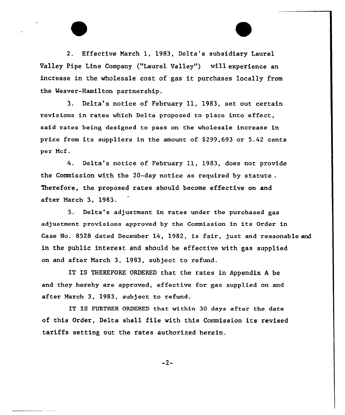2. Effective Narch 1, 1983, Delta's subsidiary Laurel Valley Pipe Line Company ("Laurel Valley") will experience an increase in the wholesale cost of gas it purchases locally from the Heaver-Hamilton partnership.

3. Delta's notice of February ll, 1983, set out certain revisions in rates which Delta proposed to place into effect, said rates being designed to pass on the wholesale increase in price from its suppliers in the amount of \$ 299,693 or 5.42 cents per Ncf.

4. Delta's notice of February 11, 1983, does not provide the Commission with the 20-day notice as required by statute . Therefore, the proposed rates should become effective on and after Narch 3, 1983.

5. Delta's adjustment in rates under the purchased gas adjustment provisions approved by the Commission in its Order in Case No. 8528 dated December 14, 1982, is fair, just and reasonable and in the public interest and should be effective with gas supplied on and after Narch 3, 1983, subject to refund.

IT IS THEREFORE ORDERED that the rates in Appendix <sup>A</sup> be and they hereby are approved, effective for gas supplied on and after March 3, 1983, subject to refund.

IT IS FURTHER ORDERED that within 30 days after the date of this Order, Delta shall file with this Commission its revised tariffs setting out the rates authorized herein.

 $-2-$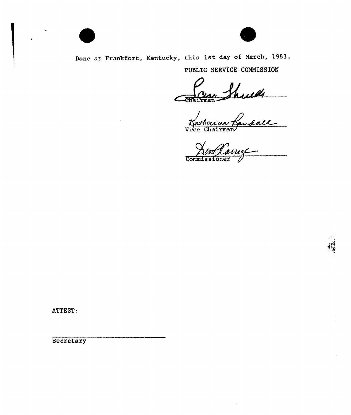

Done at Frankfort, Kentucky, this 1st day of March, 1983.

PUBLIC SERVICE COMMISSION

France Shull

AenRance

ATTEST:

**Secretary**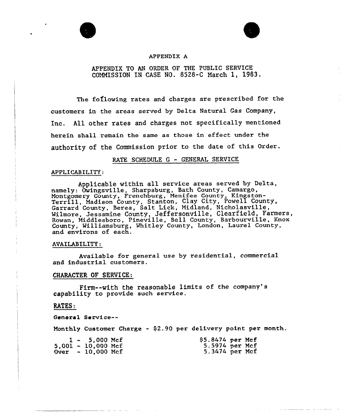

#### APPENDIX A

## APPENDIX TO AN ORDER OF THE PUBLIC SERVICE COMMISSION IN CASE NO. 8528-C March 1, 1983.

The following rates and charges are prescribed for the customers in the areas served by Delta Natural Gas Company, Inc. All other rates and charges not specifically mentioned herein shall remain the same as those in effect under the authority of the Commission prior to the date of this Order.

#### RATE SCHEDULE <sup>G</sup> - GENERAL SERVICE

#### APPLICABILITY:

Applicable within all service areas served by Delta, namely: Owingsville, Sharpsburg, Bath County, Camargo, Montgomery County, Frenchburg, Menifee County, Kingston-Terrill, Madison County, Stanton, Clay City, Powell County, Garrard County, Berea, Salt Lick, Midland, Nicholasville, Milmore, Jessamine County, Jeffersonville, Clearfield, Farmers, Rowan, Middlesboro, Pineville, Bell County, Barbourville, Knox County, Williamsburg, Whitley County, London, Laurel County, and environs of each.

#### AVAILABILITY:

Available for general use by residential, commercial and industrial customers.

#### CHARACTER OF SERVICE:

Firm--with the reasonable limits of the company's capability to provide such service.

#### RATES:

General Service--

Monthly Customer Charge - \$2.90 per delivery point per month.

|  | $1 - 5,000$ Mcf                     | $$5.8474$ per Mcf |  |
|--|-------------------------------------|-------------------|--|
|  | $5,001 - 10,000$ Mcf                | 5.5974 per Mcf    |  |
|  | $0 \text{ver} - 10,000 \text{ Mcf}$ | 5.3474 per Mcf    |  |